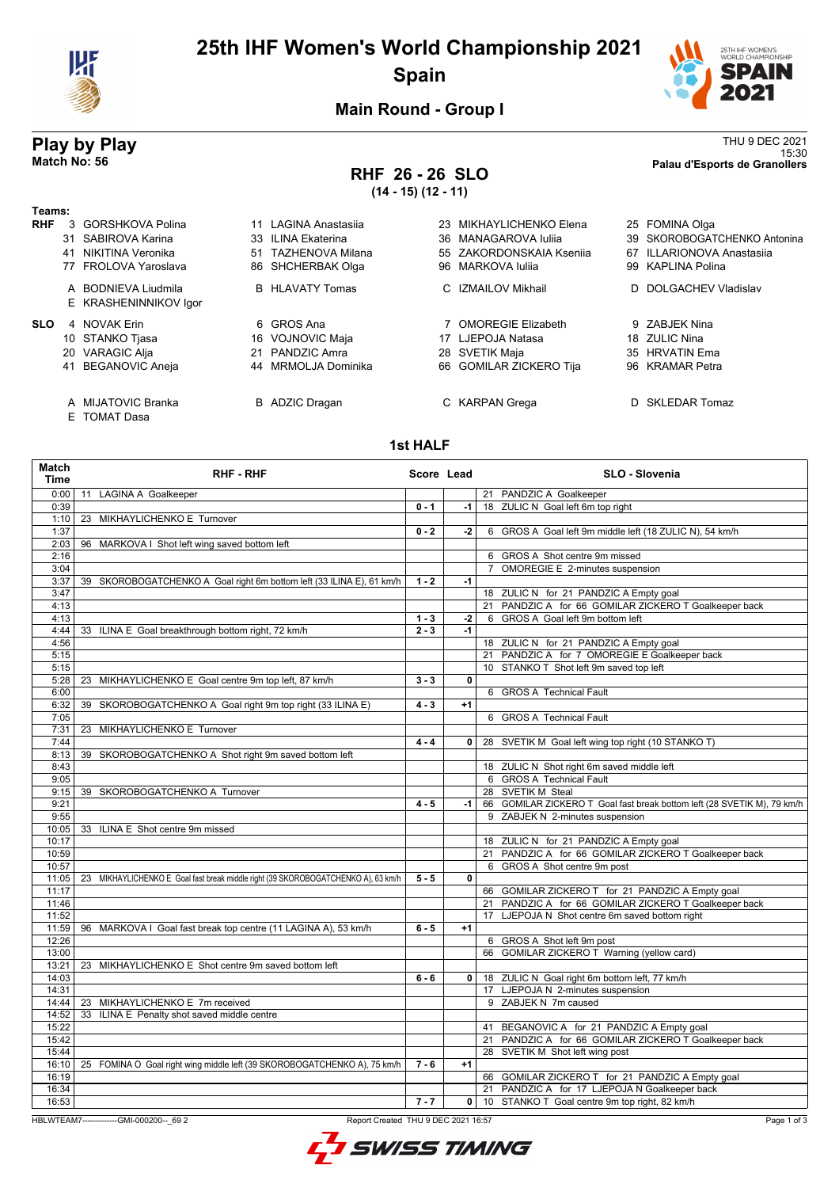

# **25th IHF Women's World Championship 2021 Spain**



**Main Round - Group I**

## **RHF 26 - 26 SLO (14 - 15) (12 - 11)**

**Play by Play**<br>Match No: 56<br>Palau d'Esports de Granollers 15:30 **Match No: 56 Palau d'Esports de Granollers**

| Teams:     |    |                                              |                        |     |                          |    |                              |
|------------|----|----------------------------------------------|------------------------|-----|--------------------------|----|------------------------------|
| <b>RHF</b> | 3  | GORSHKOVA Polina                             | LAGINA Anastasija      | 23. | MIKHAYLICHENKO Elena     |    | 25 FOMINA Olga               |
|            |    | 31 SABIROVA Karina                           | 33 ILINA Ekaterina     |     | 36 MANAGAROVA Iulija     |    | 39 SKOROBOGATCHENKO Antonina |
|            | 41 | NIKITINA Veronika                            | 51 TAZHENOVA Milana    |     | 55 ZAKORDONSKAIA Ksenija | 67 | ILLARIONOVA Anastasija       |
|            |    | 77 FROLOVA Yaroslava                         | 86 SHCHERBAK Olga      |     | 96 MARKOVA Iulija        |    | 99 KAPLINA Polina            |
|            |    | A BODNIEVA Liudmila<br>E KRASHENINNIKOV Igor | <b>B</b> HLAVATY Tomas |     | C IZMAILOV Mikhail       |    | D DOLGACHEV Vladislav        |
| <b>SLO</b> | 4  | NOVAK Frin                                   | 6 GROS Ana             |     | 7 OMOREGIE Elizabeth     |    | 9 ZABJEK Nina                |
|            |    | 10 STANKO Tjasa                              | 16 VOJNOVIC Maja       |     | 17 LJEPOJA Natasa        |    | 18 ZULIC Nina                |
|            |    | 20 VARAGIC Alja                              | 21 PANDZIC Amra        |     | 28 SVETIK Maja           |    | 35 HRVATIN Ema               |
|            | 41 | BEGANOVIC Aneja                              | 44 MRMOLJA Dominika    |     | 66 GOMILAR ZICKERO Tija  |    | 96 KRAMAR Petra              |
|            |    | A MIJATOVIC Branka                           | <b>B</b> ADZIC Dragan  |     | C KARPAN Grega           |    | D SKLEDAR Tomaz              |

E TOMAT Dasa

#### **1st HALF**

| 0:00<br>11 LAGINA A Goalkeeper<br>21 PANDZIC A Goalkeeper<br>18 ZULIC N Goal left 6m top right<br>$0 - 1$<br>0:39<br>-1  <br>1:10<br>23 MIKHAYLICHENKO E Turnover<br>1:37<br>$0 - 2$<br>$-2$<br>6 GROS A Goal left 9m middle left (18 ZULIC N), 54 km/h<br>96 MARKOVA I Shot left wing saved bottom left<br>2:03<br>6 GROS A Shot centre 9m missed<br>2:16<br>3:04<br>OMOREGIE E 2-minutes suspension<br>39 SKOROBOGATCHENKO A Goal right 6m bottom left (33 ILINA E), 61 km/h<br>$1 - 2$<br>$-1$<br>3:37<br>3:47<br>18 ZULIC N for 21 PANDZIC A Empty goal<br>21 PANDZIC A for 66 GOMILAR ZICKERO T Goalkeeper back<br>4:13<br>6 GROS A Goal left 9m bottom left<br>4:13<br>$1 - 3$<br>$-2$<br>$2 - 3$<br>$-1$<br>4:44<br>33 ILINA E Goal breakthrough bottom right, 72 km/h<br>4:56<br>18 ZULIC N for 21 PANDZIC A Empty goal<br>21 PANDZIC A for 7 OMOREGIE E Goalkeeper back<br>5:15<br>10 STANKO T Shot left 9m saved top left<br>5:15<br>5:28<br>23 MIKHAYLICHENKO E Goal centre 9m top left, 87 km/h<br>$3 - 3$<br>0<br>6:00<br>6 GROS A Technical Fault<br>39 SKOROBOGATCHENKO A Goal right 9m top right (33 ILINA E)<br>$4 - 3$<br>6:32<br>$+1$<br>6 GROS A Technical Fault<br>7:05<br>7:31<br>23 MIKHAYLICHENKO E Turnover<br>7:44<br>$4 - 4$<br>28 SVETIK M Goal left wing top right (10 STANKO T)<br>0 <sup>1</sup><br>8:13<br>39 SKOROBOGATCHENKO A Shot right 9m saved bottom left<br>18 ZULIC N Shot right 6m saved middle left<br>8:43<br>9:05<br>6 GROS A Technical Fault<br>28 SVETIK M Steal<br>9:15<br>39 SKOROBOGATCHENKO A Turnover<br>66 GOMILAR ZICKERO T Goal fast break bottom left (28 SVETIK M), 79 km/h<br>9:21<br>$4 - 5$<br>-1 l<br>9 ZABJEK N 2-minutes suspension<br>9:55<br>10:05<br>33 ILINA E Shot centre 9m missed<br>18 ZULIC N for 21 PANDZIC A Empty goal<br>10:17<br>10:59<br>21 PANDZIC A for 66 GOMILAR ZICKERO T Goalkeeper back<br>6 GROS A Shot centre 9m post<br>10:57<br>11:05<br>23 MIKHAYLICHENKO E Goal fast break middle right (39 SKOROBOGATCHENKO A), 63 km/h<br>$\mathbf{0}$<br>$5 - 5$<br>11:17<br>66 GOMILAR ZICKERO T for 21 PANDZIC A Empty goal<br>21 PANDZIC A for 66 GOMILAR ZICKERO T Goalkeeper back<br>11:46<br>17 LJEPOJA N Shot centre 6m saved bottom right<br>11:52<br>11:59<br>96 MARKOVA I Goal fast break top centre (11 LAGINA A), 53 km/h<br>$6 - 5$<br>$+1$<br>12:26<br>6 GROS A Shot left 9m post<br>66 GOMILAR ZICKERO T Warning (yellow card)<br>13:00<br>23 MIKHAYLICHENKO E Shot centre 9m saved bottom left<br>13:21<br>18 ZULIC N Goal right 6m bottom left, 77 km/h<br>14:03<br>$6 - 6$<br>$\mathbf{0}$<br>17 LJEPOJA N 2-minutes suspension<br>14:31<br>9 ZABJEK N 7m caused<br>23 MIKHAYLICHENKO E 7m received<br>14:44<br>14:52<br>33 ILINA E Penalty shot saved middle centre<br>15:22<br>41 BEGANOVIC A for 21 PANDZIC A Empty goal<br>21 PANDZIC A for 66 GOMILAR ZICKERO T Goalkeeper back<br>15:42<br>28 SVETIK M Shot left wing post<br>15:44<br>16:10<br>25 FOMINA O Goal right wing middle left (39 SKOROBOGATCHENKO A), 75 km/h<br>$7 - 6$<br>$+1$<br>16:19<br>66 GOMILAR ZICKERO T for 21 PANDZIC A Empty goal<br>21 PANDZIC A for 17 LJEPOJA N Goalkeeper back<br>16:34<br>16:53<br>$7 - 7$<br>0 10 STANKO T Goal centre 9m top right, 82 km/h | Match<br><b>Time</b> | <b>RHF - RHF</b> | Score Lead | <b>SLO - Slovenia</b> |
|-------------------------------------------------------------------------------------------------------------------------------------------------------------------------------------------------------------------------------------------------------------------------------------------------------------------------------------------------------------------------------------------------------------------------------------------------------------------------------------------------------------------------------------------------------------------------------------------------------------------------------------------------------------------------------------------------------------------------------------------------------------------------------------------------------------------------------------------------------------------------------------------------------------------------------------------------------------------------------------------------------------------------------------------------------------------------------------------------------------------------------------------------------------------------------------------------------------------------------------------------------------------------------------------------------------------------------------------------------------------------------------------------------------------------------------------------------------------------------------------------------------------------------------------------------------------------------------------------------------------------------------------------------------------------------------------------------------------------------------------------------------------------------------------------------------------------------------------------------------------------------------------------------------------------------------------------------------------------------------------------------------------------------------------------------------------------------------------------------------------------------------------------------------------------------------------------------------------------------------------------------------------------------------------------------------------------------------------------------------------------------------------------------------------------------------------------------------------------------------------------------------------------------------------------------------------------------------------------------------------------------------------------------------------------------------------------------------------------------------------------------------------------------------------------------------------------------------------------------------------------------------------------------------------------------------------------------------------------------------------------------------------------------------------------------------------------------------------------------------------------------------------------------------------------------------------------------------------------------------------------|----------------------|------------------|------------|-----------------------|
|                                                                                                                                                                                                                                                                                                                                                                                                                                                                                                                                                                                                                                                                                                                                                                                                                                                                                                                                                                                                                                                                                                                                                                                                                                                                                                                                                                                                                                                                                                                                                                                                                                                                                                                                                                                                                                                                                                                                                                                                                                                                                                                                                                                                                                                                                                                                                                                                                                                                                                                                                                                                                                                                                                                                                                                                                                                                                                                                                                                                                                                                                                                                                                                                                                                 |                      |                  |            |                       |
|                                                                                                                                                                                                                                                                                                                                                                                                                                                                                                                                                                                                                                                                                                                                                                                                                                                                                                                                                                                                                                                                                                                                                                                                                                                                                                                                                                                                                                                                                                                                                                                                                                                                                                                                                                                                                                                                                                                                                                                                                                                                                                                                                                                                                                                                                                                                                                                                                                                                                                                                                                                                                                                                                                                                                                                                                                                                                                                                                                                                                                                                                                                                                                                                                                                 |                      |                  |            |                       |
|                                                                                                                                                                                                                                                                                                                                                                                                                                                                                                                                                                                                                                                                                                                                                                                                                                                                                                                                                                                                                                                                                                                                                                                                                                                                                                                                                                                                                                                                                                                                                                                                                                                                                                                                                                                                                                                                                                                                                                                                                                                                                                                                                                                                                                                                                                                                                                                                                                                                                                                                                                                                                                                                                                                                                                                                                                                                                                                                                                                                                                                                                                                                                                                                                                                 |                      |                  |            |                       |
|                                                                                                                                                                                                                                                                                                                                                                                                                                                                                                                                                                                                                                                                                                                                                                                                                                                                                                                                                                                                                                                                                                                                                                                                                                                                                                                                                                                                                                                                                                                                                                                                                                                                                                                                                                                                                                                                                                                                                                                                                                                                                                                                                                                                                                                                                                                                                                                                                                                                                                                                                                                                                                                                                                                                                                                                                                                                                                                                                                                                                                                                                                                                                                                                                                                 |                      |                  |            |                       |
|                                                                                                                                                                                                                                                                                                                                                                                                                                                                                                                                                                                                                                                                                                                                                                                                                                                                                                                                                                                                                                                                                                                                                                                                                                                                                                                                                                                                                                                                                                                                                                                                                                                                                                                                                                                                                                                                                                                                                                                                                                                                                                                                                                                                                                                                                                                                                                                                                                                                                                                                                                                                                                                                                                                                                                                                                                                                                                                                                                                                                                                                                                                                                                                                                                                 |                      |                  |            |                       |
|                                                                                                                                                                                                                                                                                                                                                                                                                                                                                                                                                                                                                                                                                                                                                                                                                                                                                                                                                                                                                                                                                                                                                                                                                                                                                                                                                                                                                                                                                                                                                                                                                                                                                                                                                                                                                                                                                                                                                                                                                                                                                                                                                                                                                                                                                                                                                                                                                                                                                                                                                                                                                                                                                                                                                                                                                                                                                                                                                                                                                                                                                                                                                                                                                                                 |                      |                  |            |                       |
|                                                                                                                                                                                                                                                                                                                                                                                                                                                                                                                                                                                                                                                                                                                                                                                                                                                                                                                                                                                                                                                                                                                                                                                                                                                                                                                                                                                                                                                                                                                                                                                                                                                                                                                                                                                                                                                                                                                                                                                                                                                                                                                                                                                                                                                                                                                                                                                                                                                                                                                                                                                                                                                                                                                                                                                                                                                                                                                                                                                                                                                                                                                                                                                                                                                 |                      |                  |            |                       |
|                                                                                                                                                                                                                                                                                                                                                                                                                                                                                                                                                                                                                                                                                                                                                                                                                                                                                                                                                                                                                                                                                                                                                                                                                                                                                                                                                                                                                                                                                                                                                                                                                                                                                                                                                                                                                                                                                                                                                                                                                                                                                                                                                                                                                                                                                                                                                                                                                                                                                                                                                                                                                                                                                                                                                                                                                                                                                                                                                                                                                                                                                                                                                                                                                                                 |                      |                  |            |                       |
|                                                                                                                                                                                                                                                                                                                                                                                                                                                                                                                                                                                                                                                                                                                                                                                                                                                                                                                                                                                                                                                                                                                                                                                                                                                                                                                                                                                                                                                                                                                                                                                                                                                                                                                                                                                                                                                                                                                                                                                                                                                                                                                                                                                                                                                                                                                                                                                                                                                                                                                                                                                                                                                                                                                                                                                                                                                                                                                                                                                                                                                                                                                                                                                                                                                 |                      |                  |            |                       |
|                                                                                                                                                                                                                                                                                                                                                                                                                                                                                                                                                                                                                                                                                                                                                                                                                                                                                                                                                                                                                                                                                                                                                                                                                                                                                                                                                                                                                                                                                                                                                                                                                                                                                                                                                                                                                                                                                                                                                                                                                                                                                                                                                                                                                                                                                                                                                                                                                                                                                                                                                                                                                                                                                                                                                                                                                                                                                                                                                                                                                                                                                                                                                                                                                                                 |                      |                  |            |                       |
|                                                                                                                                                                                                                                                                                                                                                                                                                                                                                                                                                                                                                                                                                                                                                                                                                                                                                                                                                                                                                                                                                                                                                                                                                                                                                                                                                                                                                                                                                                                                                                                                                                                                                                                                                                                                                                                                                                                                                                                                                                                                                                                                                                                                                                                                                                                                                                                                                                                                                                                                                                                                                                                                                                                                                                                                                                                                                                                                                                                                                                                                                                                                                                                                                                                 |                      |                  |            |                       |
|                                                                                                                                                                                                                                                                                                                                                                                                                                                                                                                                                                                                                                                                                                                                                                                                                                                                                                                                                                                                                                                                                                                                                                                                                                                                                                                                                                                                                                                                                                                                                                                                                                                                                                                                                                                                                                                                                                                                                                                                                                                                                                                                                                                                                                                                                                                                                                                                                                                                                                                                                                                                                                                                                                                                                                                                                                                                                                                                                                                                                                                                                                                                                                                                                                                 |                      |                  |            |                       |
|                                                                                                                                                                                                                                                                                                                                                                                                                                                                                                                                                                                                                                                                                                                                                                                                                                                                                                                                                                                                                                                                                                                                                                                                                                                                                                                                                                                                                                                                                                                                                                                                                                                                                                                                                                                                                                                                                                                                                                                                                                                                                                                                                                                                                                                                                                                                                                                                                                                                                                                                                                                                                                                                                                                                                                                                                                                                                                                                                                                                                                                                                                                                                                                                                                                 |                      |                  |            |                       |
|                                                                                                                                                                                                                                                                                                                                                                                                                                                                                                                                                                                                                                                                                                                                                                                                                                                                                                                                                                                                                                                                                                                                                                                                                                                                                                                                                                                                                                                                                                                                                                                                                                                                                                                                                                                                                                                                                                                                                                                                                                                                                                                                                                                                                                                                                                                                                                                                                                                                                                                                                                                                                                                                                                                                                                                                                                                                                                                                                                                                                                                                                                                                                                                                                                                 |                      |                  |            |                       |
|                                                                                                                                                                                                                                                                                                                                                                                                                                                                                                                                                                                                                                                                                                                                                                                                                                                                                                                                                                                                                                                                                                                                                                                                                                                                                                                                                                                                                                                                                                                                                                                                                                                                                                                                                                                                                                                                                                                                                                                                                                                                                                                                                                                                                                                                                                                                                                                                                                                                                                                                                                                                                                                                                                                                                                                                                                                                                                                                                                                                                                                                                                                                                                                                                                                 |                      |                  |            |                       |
|                                                                                                                                                                                                                                                                                                                                                                                                                                                                                                                                                                                                                                                                                                                                                                                                                                                                                                                                                                                                                                                                                                                                                                                                                                                                                                                                                                                                                                                                                                                                                                                                                                                                                                                                                                                                                                                                                                                                                                                                                                                                                                                                                                                                                                                                                                                                                                                                                                                                                                                                                                                                                                                                                                                                                                                                                                                                                                                                                                                                                                                                                                                                                                                                                                                 |                      |                  |            |                       |
|                                                                                                                                                                                                                                                                                                                                                                                                                                                                                                                                                                                                                                                                                                                                                                                                                                                                                                                                                                                                                                                                                                                                                                                                                                                                                                                                                                                                                                                                                                                                                                                                                                                                                                                                                                                                                                                                                                                                                                                                                                                                                                                                                                                                                                                                                                                                                                                                                                                                                                                                                                                                                                                                                                                                                                                                                                                                                                                                                                                                                                                                                                                                                                                                                                                 |                      |                  |            |                       |
|                                                                                                                                                                                                                                                                                                                                                                                                                                                                                                                                                                                                                                                                                                                                                                                                                                                                                                                                                                                                                                                                                                                                                                                                                                                                                                                                                                                                                                                                                                                                                                                                                                                                                                                                                                                                                                                                                                                                                                                                                                                                                                                                                                                                                                                                                                                                                                                                                                                                                                                                                                                                                                                                                                                                                                                                                                                                                                                                                                                                                                                                                                                                                                                                                                                 |                      |                  |            |                       |
|                                                                                                                                                                                                                                                                                                                                                                                                                                                                                                                                                                                                                                                                                                                                                                                                                                                                                                                                                                                                                                                                                                                                                                                                                                                                                                                                                                                                                                                                                                                                                                                                                                                                                                                                                                                                                                                                                                                                                                                                                                                                                                                                                                                                                                                                                                                                                                                                                                                                                                                                                                                                                                                                                                                                                                                                                                                                                                                                                                                                                                                                                                                                                                                                                                                 |                      |                  |            |                       |
|                                                                                                                                                                                                                                                                                                                                                                                                                                                                                                                                                                                                                                                                                                                                                                                                                                                                                                                                                                                                                                                                                                                                                                                                                                                                                                                                                                                                                                                                                                                                                                                                                                                                                                                                                                                                                                                                                                                                                                                                                                                                                                                                                                                                                                                                                                                                                                                                                                                                                                                                                                                                                                                                                                                                                                                                                                                                                                                                                                                                                                                                                                                                                                                                                                                 |                      |                  |            |                       |
|                                                                                                                                                                                                                                                                                                                                                                                                                                                                                                                                                                                                                                                                                                                                                                                                                                                                                                                                                                                                                                                                                                                                                                                                                                                                                                                                                                                                                                                                                                                                                                                                                                                                                                                                                                                                                                                                                                                                                                                                                                                                                                                                                                                                                                                                                                                                                                                                                                                                                                                                                                                                                                                                                                                                                                                                                                                                                                                                                                                                                                                                                                                                                                                                                                                 |                      |                  |            |                       |
|                                                                                                                                                                                                                                                                                                                                                                                                                                                                                                                                                                                                                                                                                                                                                                                                                                                                                                                                                                                                                                                                                                                                                                                                                                                                                                                                                                                                                                                                                                                                                                                                                                                                                                                                                                                                                                                                                                                                                                                                                                                                                                                                                                                                                                                                                                                                                                                                                                                                                                                                                                                                                                                                                                                                                                                                                                                                                                                                                                                                                                                                                                                                                                                                                                                 |                      |                  |            |                       |
|                                                                                                                                                                                                                                                                                                                                                                                                                                                                                                                                                                                                                                                                                                                                                                                                                                                                                                                                                                                                                                                                                                                                                                                                                                                                                                                                                                                                                                                                                                                                                                                                                                                                                                                                                                                                                                                                                                                                                                                                                                                                                                                                                                                                                                                                                                                                                                                                                                                                                                                                                                                                                                                                                                                                                                                                                                                                                                                                                                                                                                                                                                                                                                                                                                                 |                      |                  |            |                       |
|                                                                                                                                                                                                                                                                                                                                                                                                                                                                                                                                                                                                                                                                                                                                                                                                                                                                                                                                                                                                                                                                                                                                                                                                                                                                                                                                                                                                                                                                                                                                                                                                                                                                                                                                                                                                                                                                                                                                                                                                                                                                                                                                                                                                                                                                                                                                                                                                                                                                                                                                                                                                                                                                                                                                                                                                                                                                                                                                                                                                                                                                                                                                                                                                                                                 |                      |                  |            |                       |
|                                                                                                                                                                                                                                                                                                                                                                                                                                                                                                                                                                                                                                                                                                                                                                                                                                                                                                                                                                                                                                                                                                                                                                                                                                                                                                                                                                                                                                                                                                                                                                                                                                                                                                                                                                                                                                                                                                                                                                                                                                                                                                                                                                                                                                                                                                                                                                                                                                                                                                                                                                                                                                                                                                                                                                                                                                                                                                                                                                                                                                                                                                                                                                                                                                                 |                      |                  |            |                       |
|                                                                                                                                                                                                                                                                                                                                                                                                                                                                                                                                                                                                                                                                                                                                                                                                                                                                                                                                                                                                                                                                                                                                                                                                                                                                                                                                                                                                                                                                                                                                                                                                                                                                                                                                                                                                                                                                                                                                                                                                                                                                                                                                                                                                                                                                                                                                                                                                                                                                                                                                                                                                                                                                                                                                                                                                                                                                                                                                                                                                                                                                                                                                                                                                                                                 |                      |                  |            |                       |
|                                                                                                                                                                                                                                                                                                                                                                                                                                                                                                                                                                                                                                                                                                                                                                                                                                                                                                                                                                                                                                                                                                                                                                                                                                                                                                                                                                                                                                                                                                                                                                                                                                                                                                                                                                                                                                                                                                                                                                                                                                                                                                                                                                                                                                                                                                                                                                                                                                                                                                                                                                                                                                                                                                                                                                                                                                                                                                                                                                                                                                                                                                                                                                                                                                                 |                      |                  |            |                       |
|                                                                                                                                                                                                                                                                                                                                                                                                                                                                                                                                                                                                                                                                                                                                                                                                                                                                                                                                                                                                                                                                                                                                                                                                                                                                                                                                                                                                                                                                                                                                                                                                                                                                                                                                                                                                                                                                                                                                                                                                                                                                                                                                                                                                                                                                                                                                                                                                                                                                                                                                                                                                                                                                                                                                                                                                                                                                                                                                                                                                                                                                                                                                                                                                                                                 |                      |                  |            |                       |
|                                                                                                                                                                                                                                                                                                                                                                                                                                                                                                                                                                                                                                                                                                                                                                                                                                                                                                                                                                                                                                                                                                                                                                                                                                                                                                                                                                                                                                                                                                                                                                                                                                                                                                                                                                                                                                                                                                                                                                                                                                                                                                                                                                                                                                                                                                                                                                                                                                                                                                                                                                                                                                                                                                                                                                                                                                                                                                                                                                                                                                                                                                                                                                                                                                                 |                      |                  |            |                       |
|                                                                                                                                                                                                                                                                                                                                                                                                                                                                                                                                                                                                                                                                                                                                                                                                                                                                                                                                                                                                                                                                                                                                                                                                                                                                                                                                                                                                                                                                                                                                                                                                                                                                                                                                                                                                                                                                                                                                                                                                                                                                                                                                                                                                                                                                                                                                                                                                                                                                                                                                                                                                                                                                                                                                                                                                                                                                                                                                                                                                                                                                                                                                                                                                                                                 |                      |                  |            |                       |
|                                                                                                                                                                                                                                                                                                                                                                                                                                                                                                                                                                                                                                                                                                                                                                                                                                                                                                                                                                                                                                                                                                                                                                                                                                                                                                                                                                                                                                                                                                                                                                                                                                                                                                                                                                                                                                                                                                                                                                                                                                                                                                                                                                                                                                                                                                                                                                                                                                                                                                                                                                                                                                                                                                                                                                                                                                                                                                                                                                                                                                                                                                                                                                                                                                                 |                      |                  |            |                       |
|                                                                                                                                                                                                                                                                                                                                                                                                                                                                                                                                                                                                                                                                                                                                                                                                                                                                                                                                                                                                                                                                                                                                                                                                                                                                                                                                                                                                                                                                                                                                                                                                                                                                                                                                                                                                                                                                                                                                                                                                                                                                                                                                                                                                                                                                                                                                                                                                                                                                                                                                                                                                                                                                                                                                                                                                                                                                                                                                                                                                                                                                                                                                                                                                                                                 |                      |                  |            |                       |
|                                                                                                                                                                                                                                                                                                                                                                                                                                                                                                                                                                                                                                                                                                                                                                                                                                                                                                                                                                                                                                                                                                                                                                                                                                                                                                                                                                                                                                                                                                                                                                                                                                                                                                                                                                                                                                                                                                                                                                                                                                                                                                                                                                                                                                                                                                                                                                                                                                                                                                                                                                                                                                                                                                                                                                                                                                                                                                                                                                                                                                                                                                                                                                                                                                                 |                      |                  |            |                       |
|                                                                                                                                                                                                                                                                                                                                                                                                                                                                                                                                                                                                                                                                                                                                                                                                                                                                                                                                                                                                                                                                                                                                                                                                                                                                                                                                                                                                                                                                                                                                                                                                                                                                                                                                                                                                                                                                                                                                                                                                                                                                                                                                                                                                                                                                                                                                                                                                                                                                                                                                                                                                                                                                                                                                                                                                                                                                                                                                                                                                                                                                                                                                                                                                                                                 |                      |                  |            |                       |
|                                                                                                                                                                                                                                                                                                                                                                                                                                                                                                                                                                                                                                                                                                                                                                                                                                                                                                                                                                                                                                                                                                                                                                                                                                                                                                                                                                                                                                                                                                                                                                                                                                                                                                                                                                                                                                                                                                                                                                                                                                                                                                                                                                                                                                                                                                                                                                                                                                                                                                                                                                                                                                                                                                                                                                                                                                                                                                                                                                                                                                                                                                                                                                                                                                                 |                      |                  |            |                       |
|                                                                                                                                                                                                                                                                                                                                                                                                                                                                                                                                                                                                                                                                                                                                                                                                                                                                                                                                                                                                                                                                                                                                                                                                                                                                                                                                                                                                                                                                                                                                                                                                                                                                                                                                                                                                                                                                                                                                                                                                                                                                                                                                                                                                                                                                                                                                                                                                                                                                                                                                                                                                                                                                                                                                                                                                                                                                                                                                                                                                                                                                                                                                                                                                                                                 |                      |                  |            |                       |
|                                                                                                                                                                                                                                                                                                                                                                                                                                                                                                                                                                                                                                                                                                                                                                                                                                                                                                                                                                                                                                                                                                                                                                                                                                                                                                                                                                                                                                                                                                                                                                                                                                                                                                                                                                                                                                                                                                                                                                                                                                                                                                                                                                                                                                                                                                                                                                                                                                                                                                                                                                                                                                                                                                                                                                                                                                                                                                                                                                                                                                                                                                                                                                                                                                                 |                      |                  |            |                       |
|                                                                                                                                                                                                                                                                                                                                                                                                                                                                                                                                                                                                                                                                                                                                                                                                                                                                                                                                                                                                                                                                                                                                                                                                                                                                                                                                                                                                                                                                                                                                                                                                                                                                                                                                                                                                                                                                                                                                                                                                                                                                                                                                                                                                                                                                                                                                                                                                                                                                                                                                                                                                                                                                                                                                                                                                                                                                                                                                                                                                                                                                                                                                                                                                                                                 |                      |                  |            |                       |
|                                                                                                                                                                                                                                                                                                                                                                                                                                                                                                                                                                                                                                                                                                                                                                                                                                                                                                                                                                                                                                                                                                                                                                                                                                                                                                                                                                                                                                                                                                                                                                                                                                                                                                                                                                                                                                                                                                                                                                                                                                                                                                                                                                                                                                                                                                                                                                                                                                                                                                                                                                                                                                                                                                                                                                                                                                                                                                                                                                                                                                                                                                                                                                                                                                                 |                      |                  |            |                       |
|                                                                                                                                                                                                                                                                                                                                                                                                                                                                                                                                                                                                                                                                                                                                                                                                                                                                                                                                                                                                                                                                                                                                                                                                                                                                                                                                                                                                                                                                                                                                                                                                                                                                                                                                                                                                                                                                                                                                                                                                                                                                                                                                                                                                                                                                                                                                                                                                                                                                                                                                                                                                                                                                                                                                                                                                                                                                                                                                                                                                                                                                                                                                                                                                                                                 |                      |                  |            |                       |
|                                                                                                                                                                                                                                                                                                                                                                                                                                                                                                                                                                                                                                                                                                                                                                                                                                                                                                                                                                                                                                                                                                                                                                                                                                                                                                                                                                                                                                                                                                                                                                                                                                                                                                                                                                                                                                                                                                                                                                                                                                                                                                                                                                                                                                                                                                                                                                                                                                                                                                                                                                                                                                                                                                                                                                                                                                                                                                                                                                                                                                                                                                                                                                                                                                                 |                      |                  |            |                       |
|                                                                                                                                                                                                                                                                                                                                                                                                                                                                                                                                                                                                                                                                                                                                                                                                                                                                                                                                                                                                                                                                                                                                                                                                                                                                                                                                                                                                                                                                                                                                                                                                                                                                                                                                                                                                                                                                                                                                                                                                                                                                                                                                                                                                                                                                                                                                                                                                                                                                                                                                                                                                                                                                                                                                                                                                                                                                                                                                                                                                                                                                                                                                                                                                                                                 |                      |                  |            |                       |
|                                                                                                                                                                                                                                                                                                                                                                                                                                                                                                                                                                                                                                                                                                                                                                                                                                                                                                                                                                                                                                                                                                                                                                                                                                                                                                                                                                                                                                                                                                                                                                                                                                                                                                                                                                                                                                                                                                                                                                                                                                                                                                                                                                                                                                                                                                                                                                                                                                                                                                                                                                                                                                                                                                                                                                                                                                                                                                                                                                                                                                                                                                                                                                                                                                                 |                      |                  |            |                       |
|                                                                                                                                                                                                                                                                                                                                                                                                                                                                                                                                                                                                                                                                                                                                                                                                                                                                                                                                                                                                                                                                                                                                                                                                                                                                                                                                                                                                                                                                                                                                                                                                                                                                                                                                                                                                                                                                                                                                                                                                                                                                                                                                                                                                                                                                                                                                                                                                                                                                                                                                                                                                                                                                                                                                                                                                                                                                                                                                                                                                                                                                                                                                                                                                                                                 |                      |                  |            |                       |
|                                                                                                                                                                                                                                                                                                                                                                                                                                                                                                                                                                                                                                                                                                                                                                                                                                                                                                                                                                                                                                                                                                                                                                                                                                                                                                                                                                                                                                                                                                                                                                                                                                                                                                                                                                                                                                                                                                                                                                                                                                                                                                                                                                                                                                                                                                                                                                                                                                                                                                                                                                                                                                                                                                                                                                                                                                                                                                                                                                                                                                                                                                                                                                                                                                                 |                      |                  |            |                       |
|                                                                                                                                                                                                                                                                                                                                                                                                                                                                                                                                                                                                                                                                                                                                                                                                                                                                                                                                                                                                                                                                                                                                                                                                                                                                                                                                                                                                                                                                                                                                                                                                                                                                                                                                                                                                                                                                                                                                                                                                                                                                                                                                                                                                                                                                                                                                                                                                                                                                                                                                                                                                                                                                                                                                                                                                                                                                                                                                                                                                                                                                                                                                                                                                                                                 |                      |                  |            |                       |
|                                                                                                                                                                                                                                                                                                                                                                                                                                                                                                                                                                                                                                                                                                                                                                                                                                                                                                                                                                                                                                                                                                                                                                                                                                                                                                                                                                                                                                                                                                                                                                                                                                                                                                                                                                                                                                                                                                                                                                                                                                                                                                                                                                                                                                                                                                                                                                                                                                                                                                                                                                                                                                                                                                                                                                                                                                                                                                                                                                                                                                                                                                                                                                                                                                                 |                      |                  |            |                       |
|                                                                                                                                                                                                                                                                                                                                                                                                                                                                                                                                                                                                                                                                                                                                                                                                                                                                                                                                                                                                                                                                                                                                                                                                                                                                                                                                                                                                                                                                                                                                                                                                                                                                                                                                                                                                                                                                                                                                                                                                                                                                                                                                                                                                                                                                                                                                                                                                                                                                                                                                                                                                                                                                                                                                                                                                                                                                                                                                                                                                                                                                                                                                                                                                                                                 |                      |                  |            |                       |
|                                                                                                                                                                                                                                                                                                                                                                                                                                                                                                                                                                                                                                                                                                                                                                                                                                                                                                                                                                                                                                                                                                                                                                                                                                                                                                                                                                                                                                                                                                                                                                                                                                                                                                                                                                                                                                                                                                                                                                                                                                                                                                                                                                                                                                                                                                                                                                                                                                                                                                                                                                                                                                                                                                                                                                                                                                                                                                                                                                                                                                                                                                                                                                                                                                                 |                      |                  |            |                       |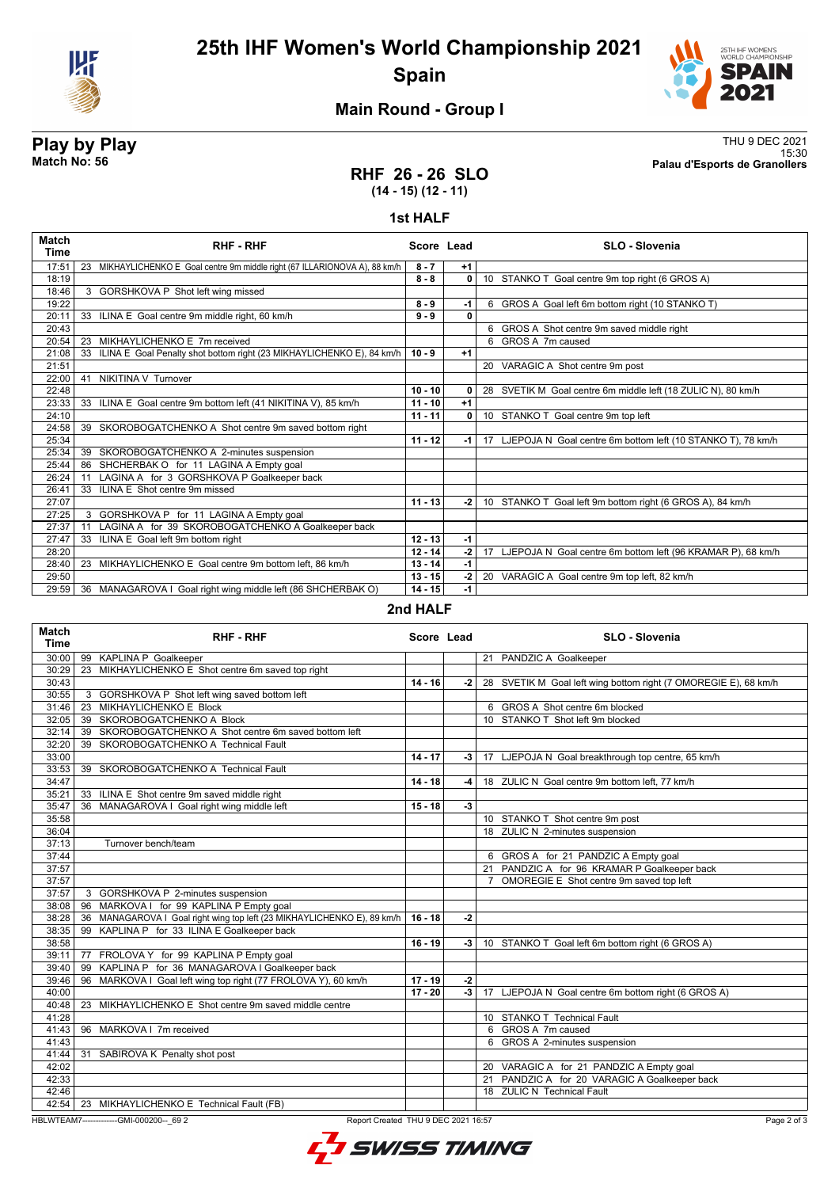

**25th IHF Women's World Championship 2021 Spain**



15:30 **Match No: 56 Palau d'Esports de Granollers**

## **Main Round - Group I**

# **Play by Play**<br>Match No: 56<br>Palau d'Esports de Granollers

# **RHF 26 - 26 SLO (14 - 15) (12 - 11)**

### **1st HALF**

| <b>Match</b><br>Time | <b>RHF - RHF</b>                                                            | Score Lead |              | <b>SLO - Slovenia</b>                                          |
|----------------------|-----------------------------------------------------------------------------|------------|--------------|----------------------------------------------------------------|
| 17:51                | 23 MIKHAYLICHENKO E Goal centre 9m middle right (67 ILLARIONOVA A), 88 km/h | $8 - 7$    | $+1$         |                                                                |
| 18:19                |                                                                             | $8 - 8$    | 0            | 10 STANKO T Goal centre 9m top right (6 GROS A)                |
| 18:46                | 3 GORSHKOVA P Shot left wing missed                                         |            |              |                                                                |
| 19:22                |                                                                             | $8 - 9$    | $-1$         | 6 GROS A Goal left 6m bottom right (10 STANKO T)               |
| 20:11                | 33 ILINA E Goal centre 9m middle right, 60 km/h                             | $9 - 9$    | $\mathbf{0}$ |                                                                |
| 20:43                |                                                                             |            |              | 6 GROS A Shot centre 9m saved middle right                     |
| 20:54                | MIKHAYLICHENKO E 7m received<br>23                                          |            |              | 6 GROS A 7m caused                                             |
| 21:08                | ILINA E Goal Penalty shot bottom right (23 MIKHAYLICHENKO E), 84 km/h<br>33 | $10 - 9$   | $+1$         |                                                                |
| 21:51                |                                                                             |            |              | 20 VARAGIC A Shot centre 9m post                               |
| 22:00                | NIKITINA V Turnover<br>41                                                   |            |              |                                                                |
| 22:48                |                                                                             | $10 - 10$  | 0            | 28 SVETIK M Goal centre 6m middle left (18 ZULIC N), 80 km/h   |
| 23:33                | 33 ILINA E Goal centre 9m bottom left (41 NIKITINA V), 85 km/h              | $11 - 10$  | $+1$         |                                                                |
| 24:10                |                                                                             | $11 - 11$  | 0            | 10 STANKO T Goal centre 9m top left                            |
| 24:58                | 39 SKOROBOGATCHENKO A Shot centre 9m saved bottom right                     |            |              |                                                                |
| 25:34                |                                                                             | $11 - 12$  | $-1$         | 17 LJEPOJA N Goal centre 6m bottom left (10 STANKO T), 78 km/h |
| 25:34                | 39 SKOROBOGATCHENKO A 2-minutes suspension                                  |            |              |                                                                |
| 25:44                | SHCHERBAK O for 11 LAGINA A Empty goal<br>86                                |            |              |                                                                |
| 26:24                | LAGINA A for 3 GORSHKOVA P Goalkeeper back<br>11                            |            |              |                                                                |
| 26:41                | 33 ILINA E Shot centre 9m missed                                            |            |              |                                                                |
| 27:07                |                                                                             | $11 - 13$  | $-2$         | 10 STANKO T Goal left 9m bottom right (6 GROS A), 84 km/h      |
| 27:25                | GORSHKOVA P for 11 LAGINA A Empty goal<br>3                                 |            |              |                                                                |
| 27:37                | LAGINA A for 39 SKOROBOGATCHENKO A Goalkeeper back<br>11                    |            |              |                                                                |
| 27:47                | ILINA E Goal left 9m bottom right<br>33                                     | $12 - 13$  | $-1$         |                                                                |
| 28:20                |                                                                             | $12 - 14$  | -2 l         | 17 LJEPOJA N Goal centre 6m bottom left (96 KRAMAR P), 68 km/h |
| 28:40                | 23 MIKHAYLICHENKO E Goal centre 9m bottom left, 86 km/h                     | $13 - 14$  | $-1$         |                                                                |
| 29:50                |                                                                             | $13 - 15$  | $-2$         | 20 VARAGIC A Goal centre 9m top left, 82 km/h                  |
| 29:59                | 36 MANAGAROVA I Goal right wing middle left (86 SHCHERBAK O)                | $14 - 15$  | $-1$         |                                                                |

### **2nd HALF**

| <b>Match</b><br><b>Time</b> | <b>RHF-RHF</b>                                                          | Score Lead |      | SLO - Slovenia                                                  |
|-----------------------------|-------------------------------------------------------------------------|------------|------|-----------------------------------------------------------------|
| 30:00                       | 99 KAPLINA P Goalkeeper                                                 |            |      | 21 PANDZIC A Goalkeeper                                         |
| 30:29                       | 23 MIKHAYLICHENKO E Shot centre 6m saved top right                      |            |      |                                                                 |
| 30:43                       |                                                                         | $14 - 16$  | -2   | 28 SVETIK M Goal left wing bottom right (7 OMOREGIE E), 68 km/h |
| 30:55                       | 3 GORSHKOVA P Shot left wing saved bottom left                          |            |      |                                                                 |
| 31:46                       | 23 MIKHAYLICHENKO E Block                                               |            |      | 6 GROS A Shot centre 6m blocked                                 |
| 32:05                       | 39 SKOROBOGATCHENKO A Block                                             |            |      | 10 STANKO T Shot left 9m blocked                                |
| 32:14                       | 39 SKOROBOGATCHENKO A Shot centre 6m saved bottom left                  |            |      |                                                                 |
| 32:20                       | 39 SKOROBOGATCHENKO A Technical Fault                                   |            |      |                                                                 |
| 33:00                       |                                                                         | $14 - 17$  | -3   | 17 LJEPOJA N Goal breakthrough top centre, 65 km/h              |
| 33:53                       | 39 SKOROBOGATCHENKO A Technical Fault                                   |            |      |                                                                 |
| 34:47                       |                                                                         | $14 - 18$  | -4   | 18 ZULIC N Goal centre 9m bottom left, 77 km/h                  |
| 35:21                       | 33 ILINA E Shot centre 9m saved middle right                            |            |      |                                                                 |
| 35:47                       | 36 MANAGAROVA I Goal right wing middle left                             | $15 - 18$  | $-3$ |                                                                 |
| 35:58                       |                                                                         |            |      | 10 STANKO T Shot centre 9m post                                 |
| 36:04                       |                                                                         |            |      | 18 ZULIC N 2-minutes suspension                                 |
| 37:13                       | Turnover bench/team                                                     |            |      |                                                                 |
| 37:44                       |                                                                         |            |      | 6 GROS A for 21 PANDZIC A Empty goal                            |
| 37:57                       |                                                                         |            |      | 21 PANDZIC A for 96 KRAMAR P Goalkeeper back                    |
| 37:57                       |                                                                         |            |      | OMOREGIE E Shot centre 9m saved top left<br>$\overline{7}$      |
| 37:57                       | 3 GORSHKOVA P 2-minutes suspension                                      |            |      |                                                                 |
| 38:08                       | 96 MARKOVA I for 99 KAPLINA P Empty goal                                |            |      |                                                                 |
| 38:28                       | 36 MANAGAROVA I Goal right wing top left (23 MIKHAYLICHENKO E), 89 km/h | $16 - 18$  | $-2$ |                                                                 |
| 38:35                       | 99 KAPLINA P for 33 ILINA E Goalkeeper back                             |            |      |                                                                 |
| 38:58                       |                                                                         | $16 - 19$  | -3   | 10 STANKO T Goal left 6m bottom right (6 GROS A)                |
| 39:11                       | 77 FROLOVA Y for 99 KAPLINA P Empty goal                                |            |      |                                                                 |
| 39:40                       | 99 KAPLINA P for 36 MANAGAROVA I Goalkeeper back                        |            |      |                                                                 |
| 39:46                       | 96 MARKOVA I Goal left wing top right (77 FROLOVA Y), 60 km/h           | $17 - 19$  | $-2$ |                                                                 |
| 40:00                       |                                                                         | $17 - 20$  | $-3$ | 17 LJEPOJA N Goal centre 6m bottom right (6 GROS A)             |
| 40:48                       | 23 MIKHAYLICHENKO E Shot centre 9m saved middle centre                  |            |      |                                                                 |
| 41:28                       |                                                                         |            |      | 10 STANKO T Technical Fault                                     |
| 41:43                       | 96 MARKOVA I 7m received                                                |            |      | 6 GROS A 7m caused                                              |
| 41:43                       |                                                                         |            |      | 6 GROS A 2-minutes suspension                                   |
| 41:44                       | 31 SABIROVA K Penalty shot post                                         |            |      |                                                                 |
| 42:02                       |                                                                         |            |      | 20 VARAGIC A for 21 PANDZIC A Empty goal                        |
| 42:33                       |                                                                         |            |      | 21 PANDZIC A for 20 VARAGIC A Goalkeeper back                   |
| 42:46                       |                                                                         |            |      | 18 ZULIC N Technical Fault                                      |
| 42:54                       | 23 MIKHAYLICHENKO E Technical Fault (FB)                                |            |      |                                                                 |

HBLWTEAM7-------------GMI-000200--\_69 2 Report Created THU 9 DEC 2021 16:57